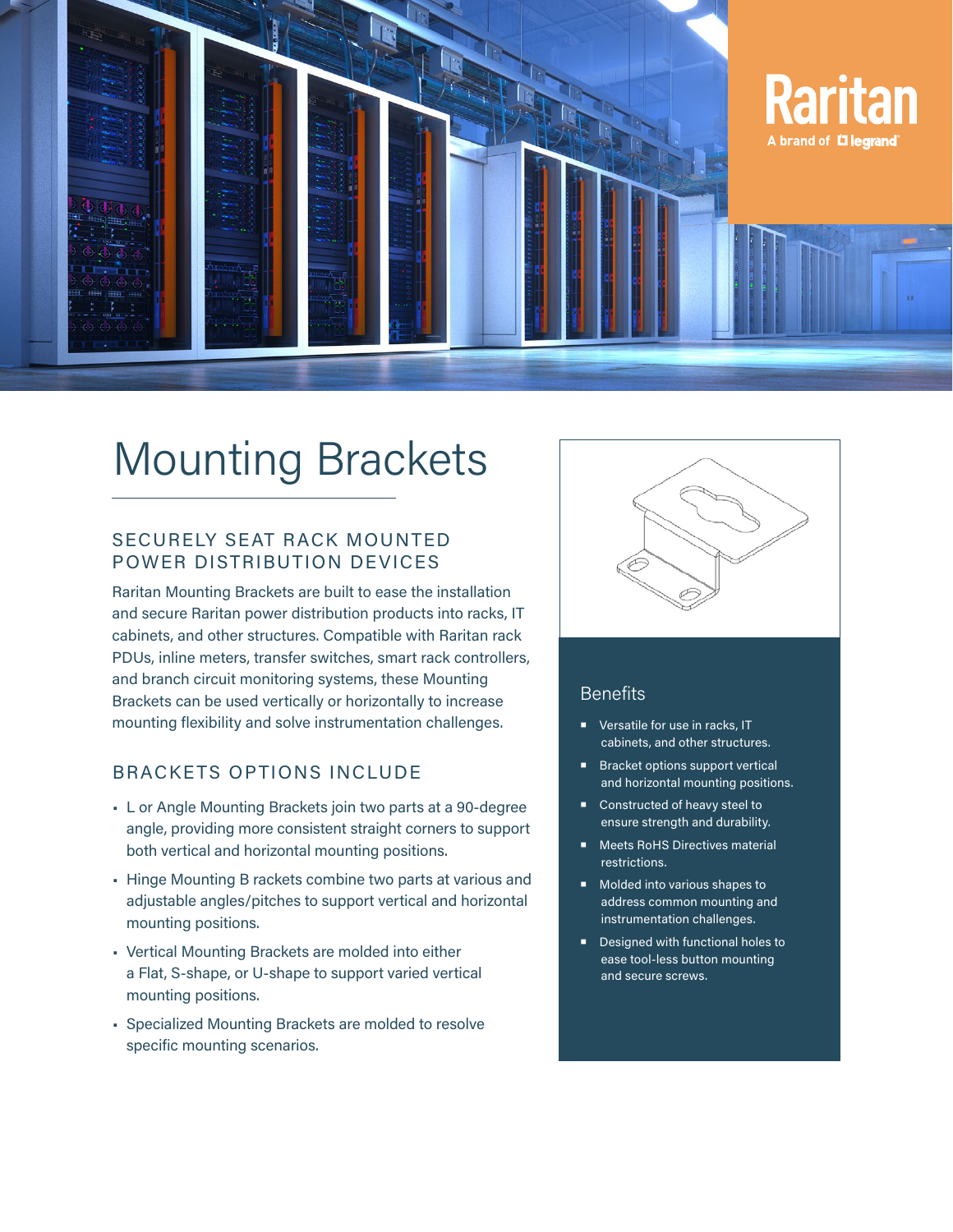

# Mounting Brackets

## SECURELY SEAT RACK MOUNTED POWER DISTRIBUTION DEVICES

Raritan Mounting Brackets are built to ease the installation and secure Raritan power distribution products into racks, IT cabinets, and other structures. Compatible with Raritan rack PDUs, inline meters, transfer switches, smart rack controllers, and branch circuit monitoring systems, these Mounting Brackets can be used vertically or horizontally to increase mounting flexibility and solve instrumentation challenges.

# BRACKETS OPTIONS INCLUDE

- L or Angle Mounting Brackets join two parts at a 90-degree angle, providing more consistent straight corners to support both vertical and horizontal mounting positions.
- Hinge Mounting B rackets combine two parts at various and adjustable angles/pitches to support vertical and horizontal mounting positions.
- Vertical Mounting Brackets are molded into either a Flat, S-shape, or U-shape to support varied vertical mounting positions.
- Specialized Mounting Brackets are molded to resolve specific mounting scenarios.



## **Benefits**

- **Versatile for use in racks, IT** cabinets, and other structures.
- **Bracket options support vertical** and horizontal mounting positions.
- Constructed of heavy steel to ensure strength and durability.
- **Meets RoHS Directives material** restrictions.
- Molded into various shapes to address common mounting and instrumentation challenges.
- **Designed with functional holes to** ease tool-less button mounting and secure screws.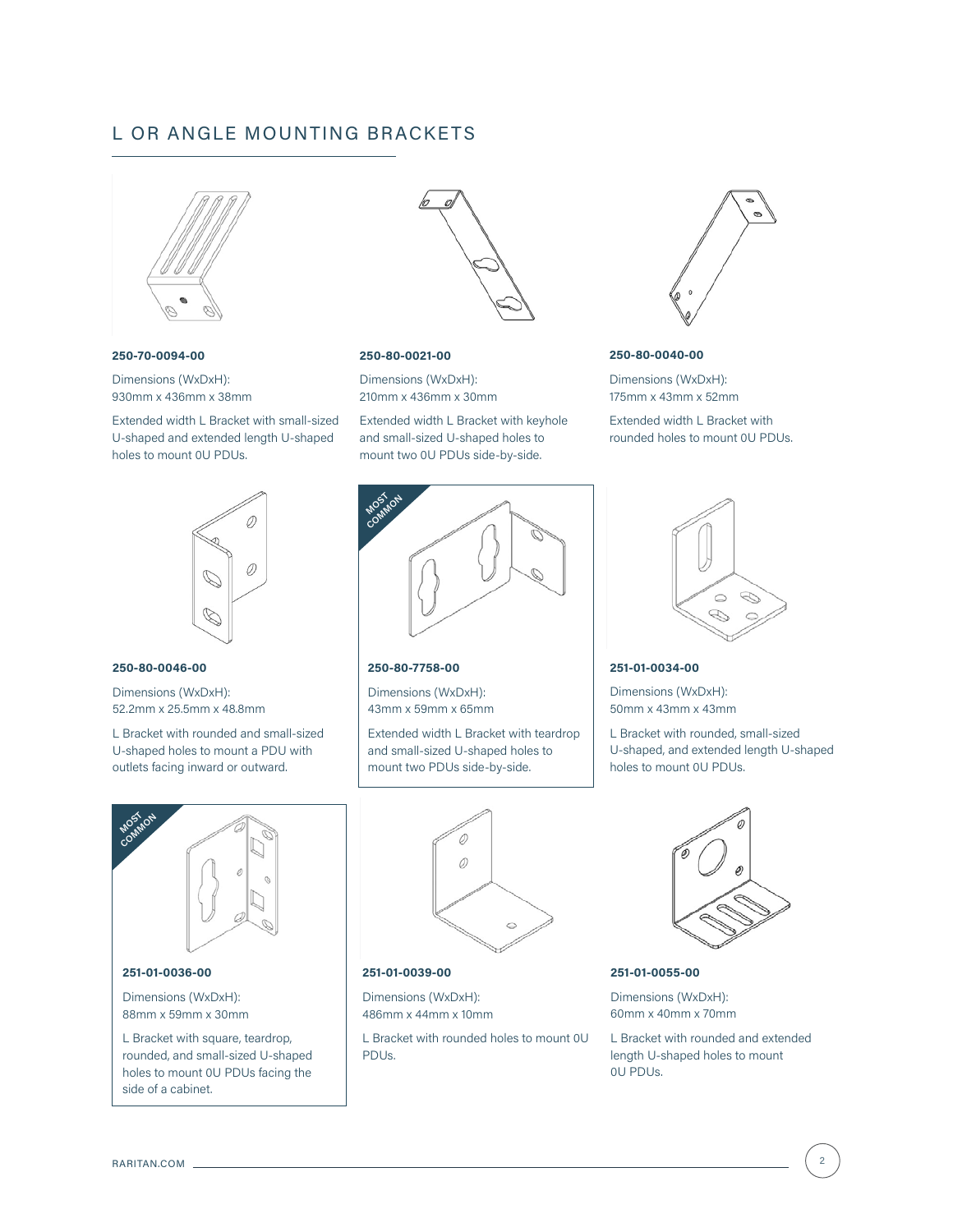## L OR ANGLE MOUNTING BRACKETS



**250-70-0094-00**

Dimensions (WxDxH): 930mm x 436mm x 38mm

Extended width L Bracket with small-sized U-shaped and extended length U-shaped holes to mount 0U PDUs.



#### **250-80-0021-00**

Dimensions (WxDxH): 210mm x 436mm x 30mm

Extended width L Bracket with keyhole and small-sized U-shaped holes to mount two 0U PDUs side-by-side.



#### **250-80-0040-00**

Dimensions (WxDxH): 175mm x 43mm x 52mm

Extended width L Bracket with rounded holes to mount 0U PDUs.



#### **250-80-0046-00**

Dimensions (WxDxH): 52.2mm x 25.5mm x 48.8mm

L Bracket with rounded and small-sized U-shaped holes to mount a PDU with outlets facing inward or outward.



rounded, and small-sized U-shaped holes to mount 0U PDUs facing the side of a cabinet.



#### **250-80-7758-00**

Dimensions (WxDxH): 43mm x 59mm x 65mm

Extended width L Bracket with teardrop and small-sized U-shaped holes to mount two PDUs side-by-side.



#### **251-01-0039-00**

Dimensions (WxDxH): 486mm x 44mm x 10mm

L Bracket with rounded holes to mount 0U PDUs.



#### **251-01-0034-00**

Dimensions (WxDxH): 50mm x 43mm x 43mm

L Bracket with rounded, small-sized U-shaped, and extended length U-shaped holes to mount 0U PDUs.



**251-01-0055-00**

Dimensions (WxDxH): 60mm x 40mm x 70mm

L Bracket with rounded and extended length U-shaped holes to mount 0U PDUs.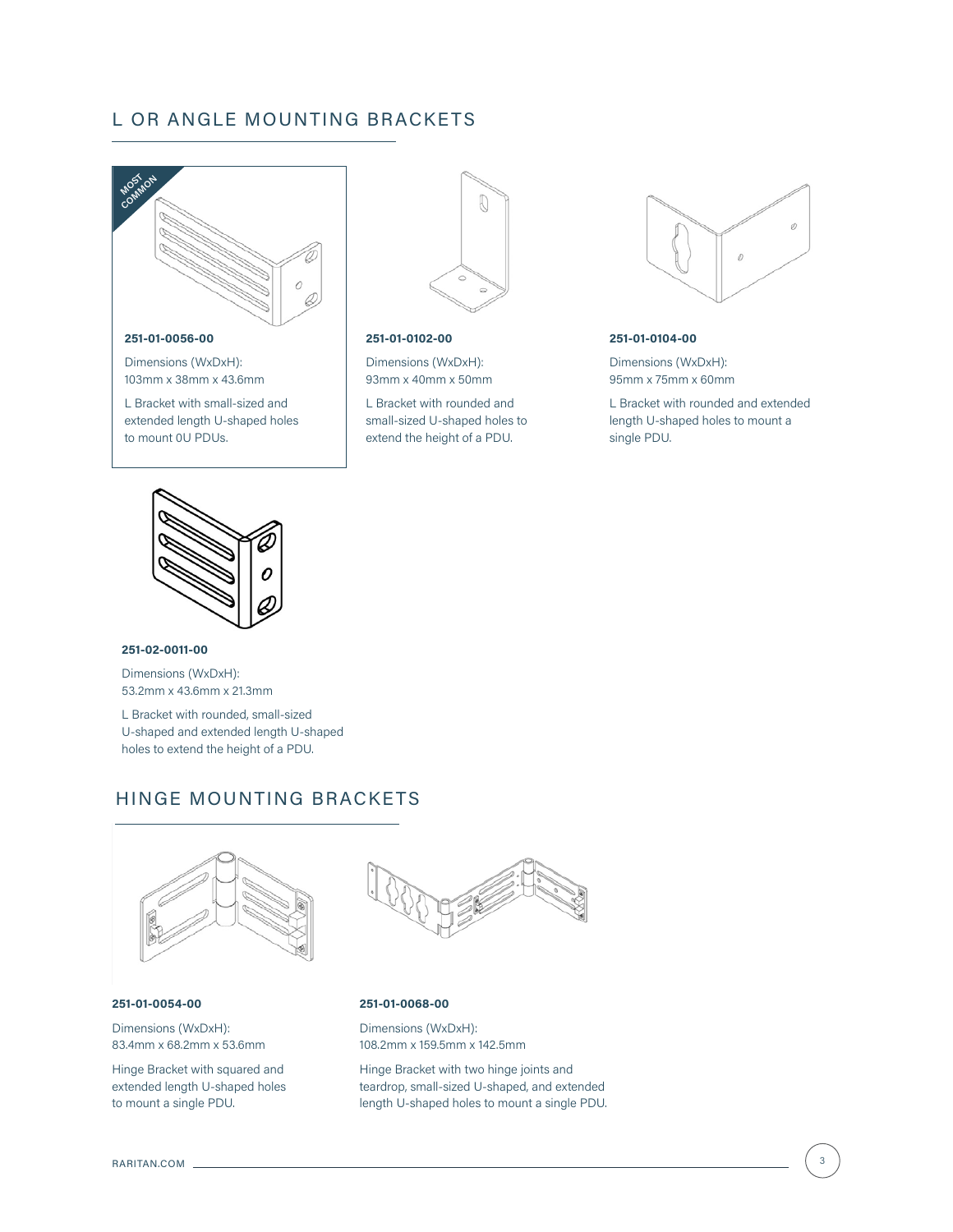## L OR ANGLE MOUNTING BRACKETS



L Bracket with small-sized and extended length U-shaped holes

to mount 0U PDUs.



#### **251-01-0102-00**

Dimensions (WxDxH): 93mm x 40mm x 50mm

L Bracket with rounded and small-sized U-shaped holes to extend the height of a PDU.



#### **251-01-0104-00**

Dimensions (WxDxH): 95mm x 75mm x 60mm

L Bracket with rounded and extended length U-shaped holes to mount a single PDU.



#### **251-02-0011-00**

Dimensions (WxDxH): 53.2mm x 43.6mm x 21.3mm

L Bracket with rounded, small-sized U-shaped and extended length U-shaped holes to extend the height of a PDU.

## HINGE MOUNTING BRACKETS



#### **251-01-0054-00**

Dimensions (WxDxH): 83.4mm x 68.2mm x 53.6mm

Hinge Bracket with squared and extended length U-shaped holes to mount a single PDU.



#### **251-01-0068-00**

Dimensions (WxDxH): 108.2mm x 159.5mm x 142.5mm

Hinge Bracket with two hinge joints and teardrop, small-sized U-shaped, and extended length U-shaped holes to mount a single PDU.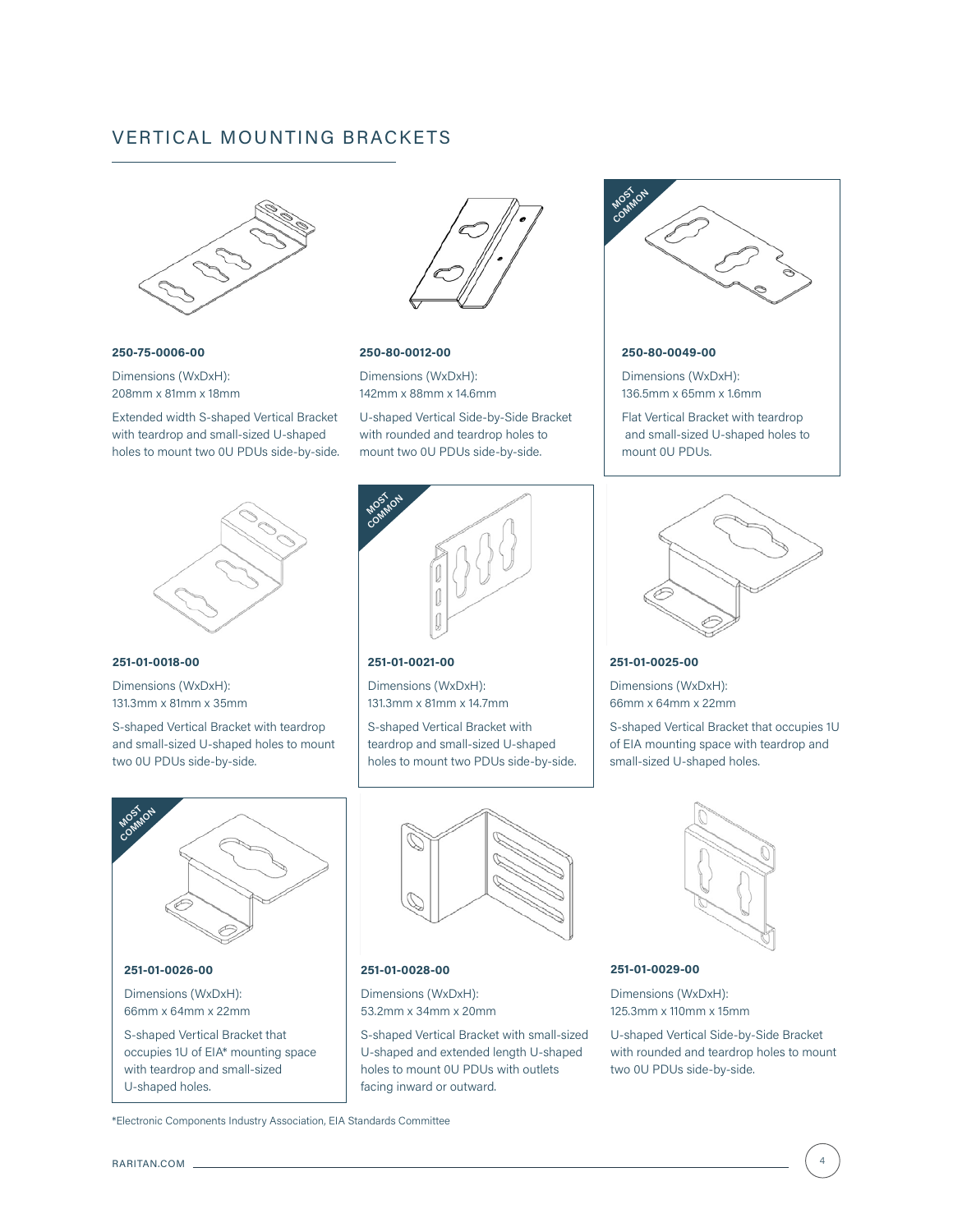## VERTICAL MOUNTING BRACKETS



**250-75-0006-00** Dimensions (WxDxH):

208mm x 81mm x 18mm Extended width S-shaped Vertical Bracket with teardrop and small-sized U-shaped holes to mount two 0U PDUs side-by-side.



#### **250-80-0012-00**

Dimensions (WxDxH): 142mm x 88mm x 14.6mm

U-shaped Vertical Side-by-Side Bracket with rounded and teardrop holes to mount two 0U PDUs side-by-side.



#### **251-01-0021-00**

Dimensions (WxDxH): 131.3mm x 81mm x 14.7mm

S-shaped Vertical Bracket with teardrop and small-sized U-shaped holes to mount two PDUs side-by-side.



#### **251-01-0028-00**

Dimensions (WxDxH): 53.2mm x 34mm x 20mm

S-shaped Vertical Bracket with small-sized U-shaped and extended length U-shaped holes to mount 0U PDUs with outlets facing inward or outward.



#### **250-80-0049-00**

Dimensions (WxDxH): 136.5mm x 65mm x 1.6mm

Flat Vertical Bracket with teardrop and small-sized U-shaped holes to mount 0U PDUs.



#### **251-01-0025-00**

Dimensions (WxDxH): 66mm x 64mm x 22mm

S-shaped Vertical Bracket that occupies 1U of EIA mounting space with teardrop and small-sized U-shaped holes.



#### **251-01-0029-00**

Dimensions (WxDxH): 125.3mm x 110mm x 15mm

U-shaped Vertical Side-by-Side Bracket with rounded and teardrop holes to mount two 0U PDUs side-by-side.



**251-01-0018-00**

131.3mm x 81mm x 35mm

S-shaped Vertical Bracket with teardrop and small-sized U-shaped holes to mount two 0U PDUs side-by-side.



\*Electronic Components Industry Association, EIA Standards Committee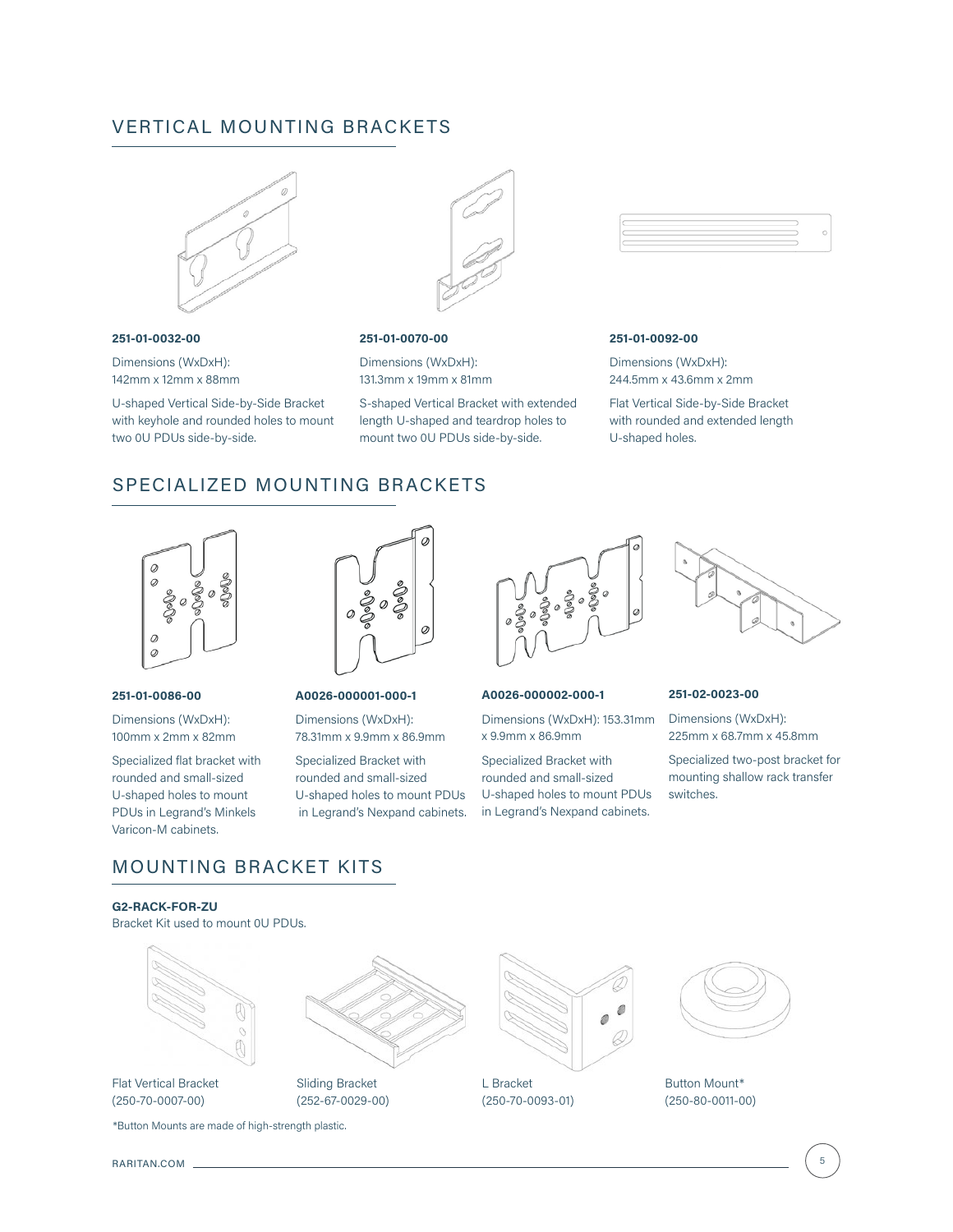## VERTICAL MOUNTING BRACKETS



#### **251-01-0032-00**

Dimensions (WxDxH): 142mm x 12mm x 88mm

U-shaped Vertical Side-by-Side Bracket with keyhole and rounded holes to mount two 0U PDUs side-by-side.



#### **251-01-0070-00**

Dimensions (WxDxH): 131.3mm x 19mm x 81mm

S-shaped Vertical Bracket with extended length U-shaped and teardrop holes to mount two 0U PDUs side-by-side.



#### **251-01-0092-00**

Dimensions (WxDxH): 244.5mm x 43.6mm x 2mm

Flat Vertical Side-by-Side Bracket with rounded and extended length U-shaped holes.

## SPECIALIZED MOUNTING BRACKETS



#### **251-01-0086-00**

Dimensions (WxDxH): 100mm x 2mm x 82mm

Specialized flat bracket with rounded and small-sized U-shaped holes to mount PDUs in Legrand's Minkels Varicon-M cabinets.



#### **A0026-000001-000-1**

Dimensions (WxDxH): 78.31mm x 9.9mm x 86.9mm

Specialized Bracket with rounded and small-sized U-shaped holes to mount PDUs in Legrand's Nexpand cabinets.



#### **A0026-000002-000-1**

Dimensions (WxDxH): 153.31mm x 9.9mm x 86.9mm

Specialized Bracket with rounded and small-sized U-shaped holes to mount PDUs in Legrand's Nexpand cabinets.



#### **251-02-0023-00**

Dimensions (WxDxH): 225mm x 68.7mm x 45.8mm

Specialized two-post bracket for mounting shallow rack transfer switches.

## MOUNTING BRACKET KITS

**G2-RACK-FOR-ZU** Bracket Kit used to mount 0U PDUs.



\*Button Mounts are made of high-strength plastic.



Sliding Bracket (252-67-0029-00)



L Bracket (250-70-0093-01)



Button Mount\* (250-80-0011-00)

RARITAN.COM \_

(250-70-0007-00)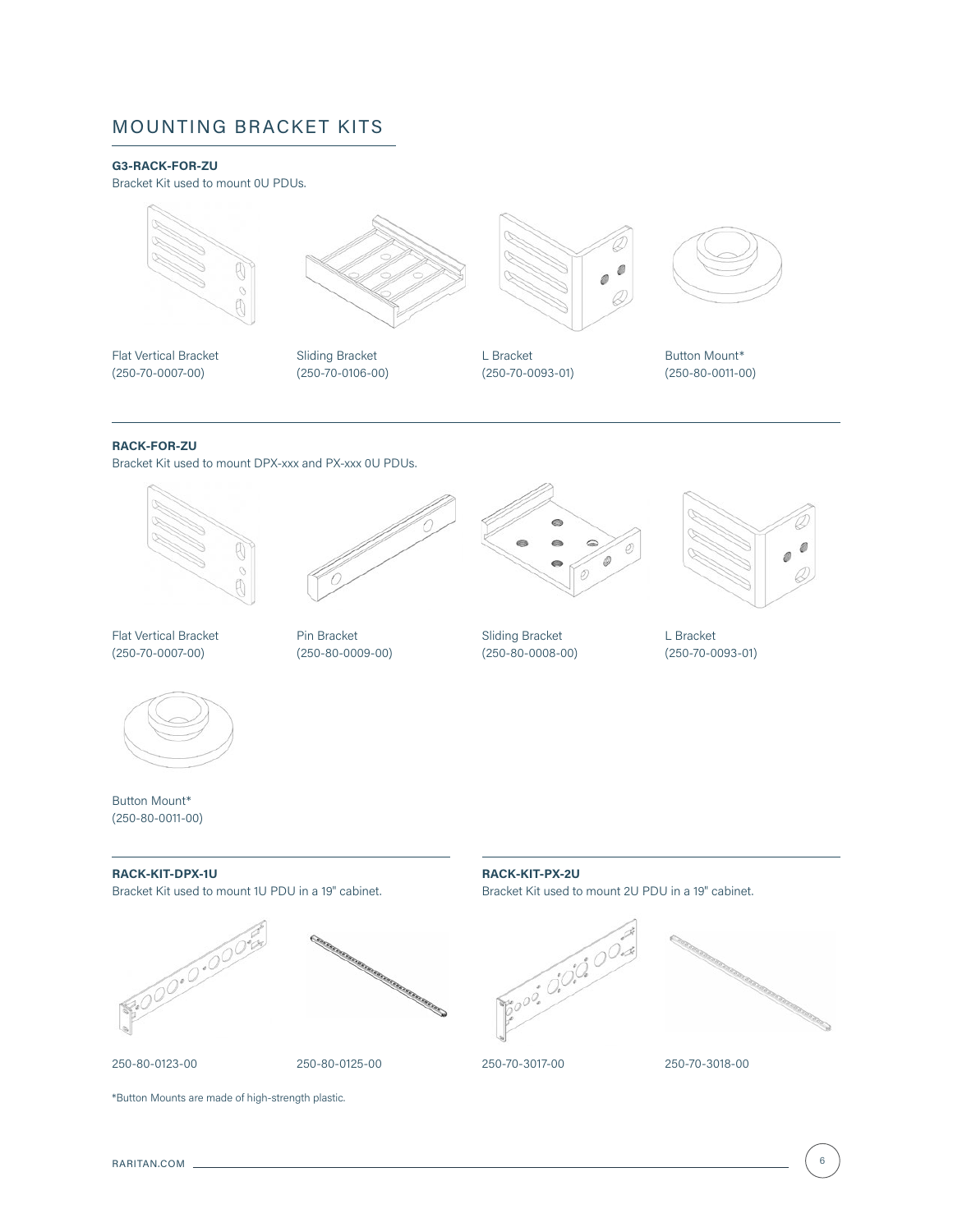## MOUNTING BRACKET KITS

## **G3-RACK-FOR-ZU**

Bracket Kit used to mount 0U PDUs.





Flat Vertical Bracket (250-70-0007-00)

Sliding Bracket (250-70-0106-00)



L Bracket (250-70-0093-01)



Button Mount\* (250-80-0011-00)

## **RACK-FOR-ZU**

Bracket Kit used to mount DPX-xxx and PX-xxx 0U PDUs.



Flat Vertical Bracket (250-70-0007-00)



Pin Bracket (250-80-0009-00)



Sliding Bracket (250-80-0008-00)



L Bracket (250-70-0093-01)



Button Mount\* (250-80-0011-00)

#### **RACK-KIT-DPX-1U**

Bracket Kit used to mount 1U PDU in a 19" cabinet.





#### 250-80-0123-00

250-80-0125-00

## **RACK-KIT-PX-2U** Bracket Kit used to mount 2U PDU in a 19" cabinet.





250-70-3017-00

#### 250-70-3018-00

\*Button Mounts are made of high-strength plastic.

RARITAN.COM 6